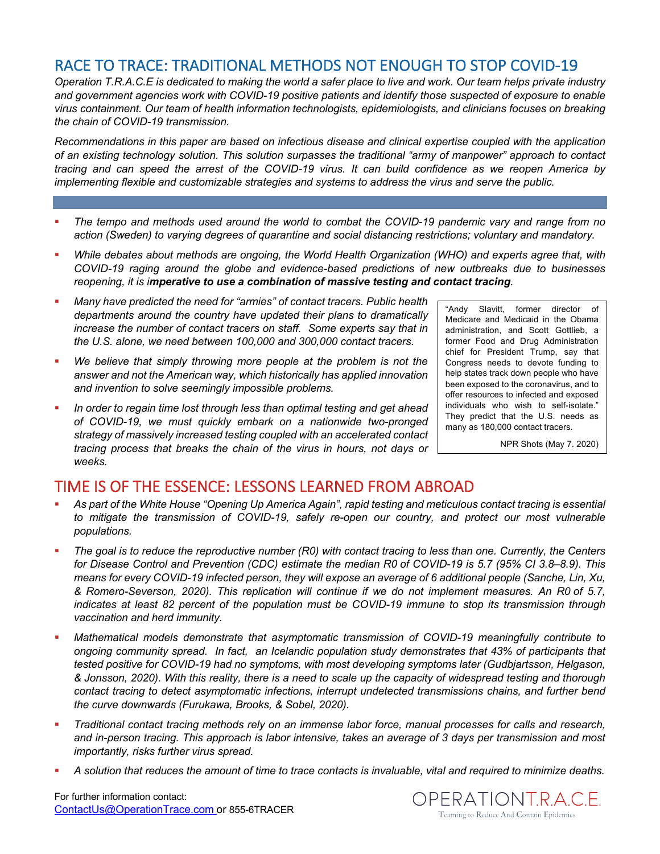## RACE TO TRACE: TRADITIONAL METHODS NOT ENOUGH TO STOP COVID-19

*Operation T.R.A.C.E is dedicated to making the world a safer place to live and work. Our team helps private industry and government agencies work with COVID-19 positive patients and identify those suspected of exposure to enable virus containment. Our team of health information technologists, epidemiologists, and clinicians focuses on breaking the chain of COVID-19 transmission.* 

*Recommendations in this paper are based on infectious disease and clinical expertise coupled with the application of an existing technology solution. This solution surpasses the traditional "army of manpower" approach to contact tracing and can speed the arrest of the COVID-19 virus. It can build confidence as we reopen America by implementing flexible and customizable strategies and systems to address the virus and serve the public.*

- § *The tempo and methods used around the world to combat the COVID-19 pandemic vary and range from no action (Sweden) to varying degrees of quarantine and social distancing restrictions; voluntary and mandatory.*
- § *While debates about methods are ongoing, the World Health Organization (WHO) and experts agree that, with COVID-19 raging around the globe and evidence-based predictions of new outbreaks due to businesses reopening, it is imperative to use a combination of massive testing and contact tracing.*
- § *Many have predicted the need for "armies" of contact tracers. Public health departments around the country have updated their plans to dramatically increase the number of contact tracers on staff. Some experts say that in the U.S. alone, we need between 100,000 and 300,000 contact tracers.*
- § *We believe that simply throwing more people at the problem is not the answer and not the American way, which historically has applied innovation and invention to solve seemingly impossible problems.*
- § *In order to regain time lost through less than optimal testing and get ahead of COVID-19, we must quickly embark on a nationwide two-pronged strategy of massively increased testing coupled with an accelerated contact tracing process that breaks the chain of the virus in hours, not days or weeks.*

"Andy Slavitt, former director of Medicare and Medicaid in the Obama administration, and Scott Gottlieb, a former Food and Drug Administration chief for President Trump, say that Congress needs to devote funding to help states track down people who have been exposed to the coronavirus, and to offer resources to infected and exposed individuals who wish to self-isolate." They predict that the U.S. needs as many as 180,000 contact tracers.

NPR Shots (May 7. 2020)

## TIME IS OF THE ESSENCE: LESSONS LEARNED FROM ABROAD

- § *As part of the White House "Opening Up America Again", rapid testing and meticulous contact tracing is essential to mitigate the transmission of COVID-19, safely re-open our country, and protect our most vulnerable populations.*
- § *The goal is to reduce the reproductive number (R0) with contact tracing to less than one. Currently, the Centers for Disease Control and Prevention (CDC) estimate the median R0 of COVID-19 is 5.7 (95% CI 3.8–8.9). This means for every COVID-19 infected person, they will expose an average of 6 additional people (Sanche, Lin, Xu, & Romero-Severson, 2020). This replication will continue if we do not implement measures. An R0 of 5.7, indicates at least 82 percent of the population must be COVID-19 immune to stop its transmission through vaccination and herd immunity.*
- § *Mathematical models demonstrate that asymptomatic transmission of COVID-19 meaningfully contribute to ongoing community spread. In fact, an Icelandic population study demonstrates that 43% of participants that tested positive for COVID-19 had no symptoms, with most developing symptoms later (Gudbjartsson, Helgason, & Jonsson, 2020). With this reality, there is a need to scale up the capacity of widespread testing and thorough contact tracing to detect asymptomatic infections, interrupt undetected transmissions chains, and further bend the curve downwards (Furukawa, Brooks, & Sobel, 2020).*
- § *Traditional contact tracing methods rely on an immense labor force, manual processes for calls and research, and in-person tracing. This approach is labor intensive, takes an average of 3 days per transmission and most importantly, risks further virus spread.*
- § *A solution that reduces the amount of time to trace contacts is invaluable, vital and required to minimize deaths.*

For further information contact: ContactUs@OperationTrace.com or 855-6TRACER